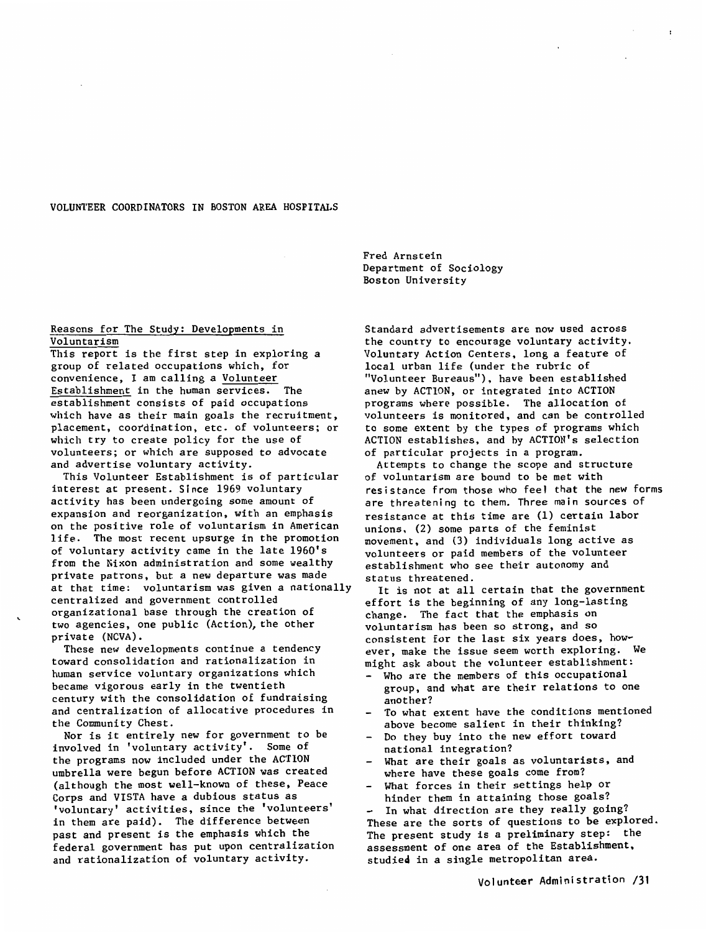### VOLUNTEER COORDINATORS IN BOSTON AREA HOSPITALS

### Reasons for The Study: Developments in Voluntarism

This report is the first step in exploring a group of related occupations which, for convenience, I am calling a Volunteer Establishment in the human services. The establishment consists of paid occupations which have as their main goals the recruitment, placement, coordination, etc. of volunteers; or which try to create policy for the use of volunteers; or which are supposed to advocate and advertise voluntary activity.

This Volunteer Establishment is of particular interest at present. Since 1969 voluntary activity has been undergoing some amount of expansion and reorganization, with an emphasis on the positive role of voluntarism in American life. The most recent upsurge in the promotion of voluntary activity came in the late 196O's from the Nixon administration and some wealthy private patrons, but a new departure was made at that time: voluntarism was given a nationally centralized and government controlled organizational base through the creation of two agencies, one public (Action), the other private (NCVA).

These new developments continue a tendency toward consolidation and rationalization in human service voluntary organizations which became vigorous early in the twentieth century with the consolidation of fundraising and centralization of allocative procedures in the Community Chest.

Nor is it entirely new for government to be involved in 'voluntary activity'. Some of the programs now included under the ACTION umbrella were begun before ACTION was created (although the most well-known of these, Peace Corps and VISTA have a dubious status as 'voluntary' activities, since the 'volunteers' in them are paid). The difference between past and present is the emphasis which the federal government has put upon centralization and rationalization of voluntary activity.

Fred Arnstein Department of Sociology Boston University

Standard advertisements are now used across the country to encourage voluntary activity. Voluntary Action Centers, long a feature of local urban life (under the rubric of "Volunteer Bureaus"). have been established anew by ACTION, or integrated into ACTION programs where possible. The allocation of volunteers is monitored, and can be controlled to some extent by the types of programs which ACTION establishes, and by ACTION's selection of particular projects in a program.

Attempts to change the scope and structure of voluntarism are bound to be met with resistance from those who feel that the new forms are threatening to them. Three main sources of resistance at this time are (1) certain labor unions. (2) some parts of the feminist movement, and (3) individuals long active as volunteers or paid members of the volunteer establishment who see their autonomy and status threatened.

It is not at all certain that the government effort is the beginning of any long-lasting change. The fact that the emphasis on voluntarism has been so strong, and so consistent for the last six years does, how~ ever, make the issue seem worth exploring. We might ask about the volunteer establishment:

- Who are the members of this occupational group, and what are their relations to one another?
- To what extent have the conditions mentioned above become salient in their thinking?
- Do they buy into the new effort toward national integration?
- What are their goals as voluntarists, and where have these goals come from?
- What forces in their settings help or hinder them in attaining those goals?

- In what direction are they really going? These are the sorts of questions to be explored. The present study is a preliminary step: the assessment of one area of the Establishment, studied in a single metropolitan area.

Volunteer Administration /31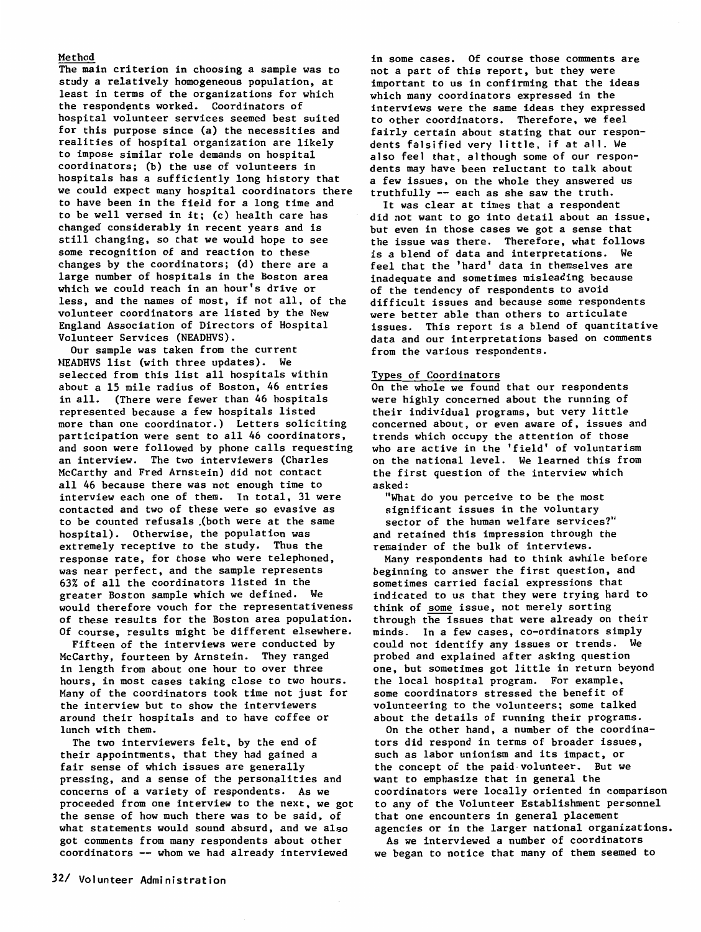# Method

The main criterion in choosing a sample was to study a relatively homogeneous population, at least in terms of the organizations for which the respondents worked. Coordinators of hospital volunteer services seemed best suited for this purpose since (a) the necessities and realities of hospital organization are likely to impose similar role demands on hospital coordinators; (b) the use of volunteers in hospitals has a sufficiently long history that we could expect many hospital coordinators there to have been in the field for a long time and to be well versed in it; (c) health care has changed considerably in recent years and is still changing, so that we would hope to see some recognition of and reaction to these changes by the coordinators; (d) there are a large number of hospitals in the Boston area which we could reach in an hour's drive or less, and the names of most, if not all, of the volunteer coordinators are listed by the New England Association of Directors of Hospital Volunteer Services (NEADHVS).

Our sample was taken from the current HEADHVS list (with three updates). We selected from this list all hospitals within about a 15 mile radius of Boston, 46 entries in all. (There were fewer than 46 hospitals represented because a few hospitals listed more than one coordinator.) Letters soliciting participation were sent to all 46 coordinators, and soon were followed by phone calls requesting an interview. The two interviewers (Charles McCarthy and Fred Arnstein) did not contact all 46 because there was not enough time to interview each one of them. In total, 31 were contacted and two of these were so evasive as to be counted refusals .(both were at the same hospital). Otherwise, the population was extremely receptive to the study. Thus the response rate, for those who were telephoned, was near perfect, and the sample represents 63% of all the coordinators listed in the greater Boston sample which we defined. We would therefore vouch for the representativeness of these results for the Boston area population. Of course, results might be different elsewhere.

Fifteen of the interviews were conducted by McCarthy, fourteen by Arnstein. They ranged in length from about one hour to over three hours, in most cases taking close to two hours. Many of the coordinators took time not just for the interview but to show the interviewers around their hospitals and to have coffee or lunch with them.

The two interviewers felt, by the end of their appointments, that they had gained a fair sense of which issues are generally pressing, and a sense of the personalities and concerns of a variety of respondents. As we proceeded from one interview to the next, we got the sense of how much there was to be said, of what statements would sound absurd, and we also got connnents from many respondents about other coordinators -- whom we had already interviewed

in some cases. Of course those comments are not a part of this report, but they were important to us in confirming that the ideas which many coordinators expressed in the interviews were the same ideas they expressed to other coordinators. Therefore, we feel fairly certain about stating that our respondents falsified very little, if at all. We also feel that, although some of our respondents may have been reluctant to talk about a few issues, on the whole they answered us truthfully -- each as she saw the truth.

It was clear at times that a respondent did not want to go into detail about an issue, but even in those cases we got a sense that the issue was there. Therefore, what follows is a blend of data and interpretations. We feel that the 'hard' data in themselves are inadequate and sometimes misleading because of the tendency of respondents to avoid difficult issues and because some respondents were better able than others to articulate issues. This report is a blend of quantitative data and our interpretations based on comments from the various respondents.

#### Types of Coordinators

On the whole we found that our respondents were highly concerned about the running of their individual programs, but very little concerned about, or even aware of, issues and trends which occupy the attention of those who are active in the 'field' of voluntarism on the national level. We learned this from the first question of the interview which asked:

"What do you perceive to be the most significant issues in the voluntary sector of the human welfare services?" and retained this impression through the remainder of the bulk of interviews.

Many respondents had to think awhile before beginning to answer the first question, and sometimes carried facial expressions that indicated to us that they were trying hard to think of some issue, not merely sorting through the issues that were already on their minds. In a few cases, co-ordinators simply could not identify any issues or trends. We probed and explained after asking question one, but sometimes got little in return beyond the local hospital program. For example. some coordinators stressed the benefit of volunteering to the volunteers; some talked about the details of running their programs.

On the other hand, a number of the coordinators did respond in terms of broader issues, such as labor unionism and its impact, or the concept of the paid-volunteer. But we want to emphasize that in general the coordinators were locally oriented in comparison to any of the Volunteer Establishment personnel that one encounters in general placement agencies or in the larger national organizations.

As we interviewed a number of coordinators we began to notice that many of them seemed to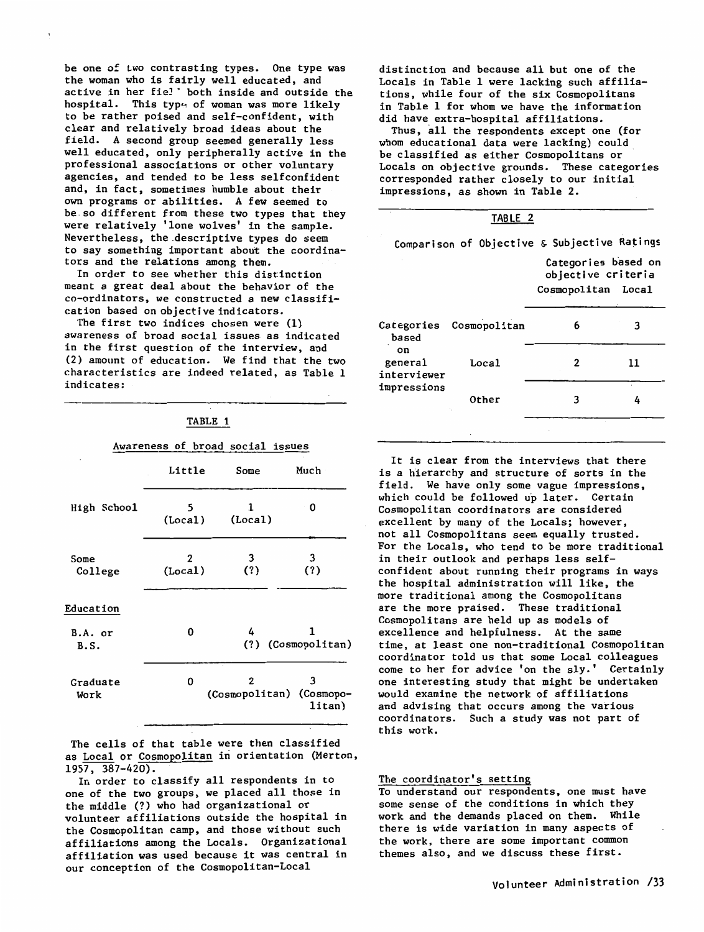be one of two contrasting types. One type was the woman who is fairly well educated, and active in her fie!' both inside and outside the hospital. This type of woman was more likely to be rather poised and self-confident, with clear and relatively broad ideas about the field. A second group seemed generally less well educated, only peripherally active in the professional associations or other voluntary agencies, and tended to be less selfconfident and, in fact, sometimes humble about their own programs or abilities. A few seemed to be.so different from these two types that they were relatively 'lone wolves' in the sample. Nevertheless, the.descriptive types do seem to say something important about the coordinators and the relations among them.

In order to see whether this distinction meant a great deal about the behavior of the co-ordinators, we constructed a new classification based on objective indicators.

The first two indices chosen were (1) awareness of broad social issues as indicated in the first question of the interview, and (2) amount of education. We find that the two characteristics are indeed related, as Table 1 indicates:

#### TABLE 1

### Awareness of broad social issues

|                  | Little       | Some         | Much                                    |
|------------------|--------------|--------------|-----------------------------------------|
| High School      | 5<br>(Local) | 1<br>(Local) | 0                                       |
| Some<br>College  | 2<br>(Local) | 3<br>(?)     | 3<br>(?)                                |
| Education        |              |              |                                         |
| B.A. or<br>B.S.  | 0            | 4            | 1<br>(?) (Cosmopolitan)                 |
| Graduate<br>Work | 0            | 2            | 3<br>(Cosmopolitan) (Cosmopo-<br>litan) |

The cells of that table were then classified as Local or Cosmopolitan in orientation (Merton,  $1957, 387-420$ .

In order to classify all respondents in to one of the two groups, we placed all those in the middle(?) who had organizational or volunteer affiliations outside the hospital in the Cosmopolitan camp, and those without such affiliations among the Locals. Organizational affiliation was used because it was central in our conception of the Cosmopolitan-Local

distinction and because all but one of the Locals in Table 1 were lacking such affiliations, while four of the six Cosmopolitans in Table 1 for whom we have the information did have extra-hospital affiliations.

Thus, all the respondents except one (for whom educational data were lacking) could be classified as either Cosmopolitans or Locals on objective grounds. These categories corresponded rather closely to our initial impressions, as shown in Table 2.

|                                              | TABLE 2                 |                                                                 |    |  |  |  |  |
|----------------------------------------------|-------------------------|-----------------------------------------------------------------|----|--|--|--|--|
| Comparison of Objective & Subjective Ratings |                         |                                                                 |    |  |  |  |  |
|                                              |                         | Categories based on<br>objective criteria<br>Cosmopolitan Local |    |  |  |  |  |
| based                                        | Categories Cosmopolitan | 6                                                               | 3  |  |  |  |  |
| on<br>general<br>interviewer                 | Loca1                   | 2                                                               | 11 |  |  |  |  |
| impressions                                  | Other                   | з                                                               |    |  |  |  |  |
|                                              |                         |                                                                 |    |  |  |  |  |

It is clear from the interviews that there is a hierarchy and structure of sorts in the field. We have only some vague impressions, which could be followed up later. Certain Cosmopolitan coordinators are considered excellent by many of the Locals; however, not all Cosmopolitans seem equally trusted. For the Locals, who tend to be more traditional in their outlook and perhaps less selfconfident about running their programs in ways the hospital administration will like, the more traditional among the Cosmopolitans are the more praised. These traditional Cosmopolitans are held up as models of excellence and helpfulness. At the same time, at least one non-traditional Cosmopolitan coordinator told us that some Local colleagues come to her for advice 'on the sly.' Certainly one interesting study that might be undertaken would examine the network of affiliations and advising that occurs among the various coordinators. Such a study was not part of this work.

#### The coordinator's setting

To understand our respondents, one must have some sense of the conditions in which they work and the demands placed on them. While there is wide variation in many aspects of the work, there are some important common themes also, and we discuss these first.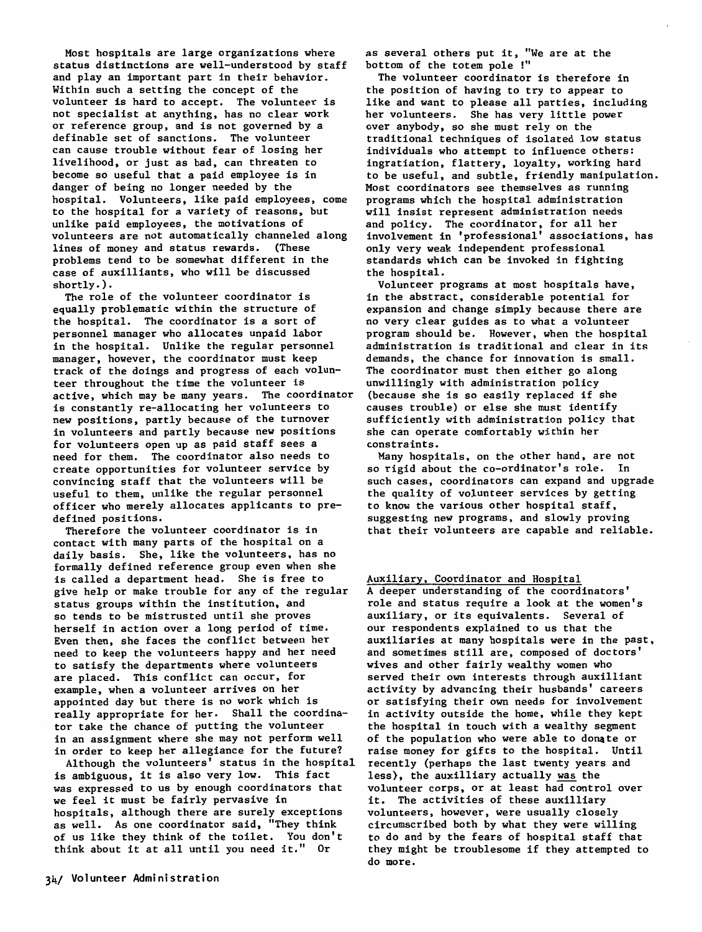Most hospitals are large organizations where status distinctions are well-understood by staff and play an important part in their behavior. Within such a setting the concept of the volunteer is hard to accept. The volunteer is not specialist at anything, has no clear work or reference group, and is not governed by a definable set of sanctions. The volunteer can cause trouble without fear of losing her livelihood, or just as bad, can threaten to become so useful that a paid employee is in danger of being no longer needed by the hospital. Volunteers, like paid employees, come to the hospital for a variety of reasons, but unlike paid employees, the motivations of volunteers are not automatically channeled along lines of money and status rewards. (These problems tend to be somewhat different in the case of auxilliants, who will be discussed shortly.).

The role of the volunteer coordinator is equally problematic within the structure of the hospital. The coordinator is a sort of personnel manager who allocates unpaid labor in the hospital. Unlike the regular personnel manager, however, the coordinator must keep track of the doings and progress of each volunteer throughout the time the volunteer is active, which may be many years. The coordinator is constantly re-allocating her volunteers to new positions, partly because of the turnover in volunteers and partly because new positions for volunteers open up as paid staff sees a need for them. The coordinator also needs to create opportunities for volunteer service by convincing staff that the volunteers will be useful to them, unlike the regular personnel officer who merely allocates applicants to predefined positions.

Therefore the volunteer coordinator is in contact with many parts of the hospital on a daily basis. She, like the volunteers. has no formally defined reference group even when she is called a department head. She is free to give help or make trouble for any of the regular status groups within the institution, and so tends to be mistrusted until she proves herself in action over a long period of time. Even then, she faces the conflict between her need to keep the volunteers happy and her need to satisfy the departments where volunteers are placed. This conflict can occur, for example, when a volunteer arrives on her appointed day but there is no work which is really appropriate for her. Shall the coordinator take the chance of putting the volunteer in an assignment where she may not perform well in order to keep her allegiance for the future?

Although the volunteers' status in the hospital is ambiguous, it is also very low. This fact was expressed to us by enough coordinators that we feel it must be fairly pervasive in hospitals, although there are surely exceptions as well. As one coordinator said, "They think of us like they think of the toilet. You don't think about it at all until you need it." Or

34/ Volunteer Administration

as several others put it, "We are at the bottom of the totem pole!"

The volunteer coordinator is therefore in the position of having to try to appear to like and want to please all parties, including her volunteers. She has very little power over anybody, so she must rely on the traditional techniques of isolated low status individuals who attempt to influence others: ingratiation, flattery, loyalty, working hard to be useful, and subtle, friendly manipulation. Most coordinators see themselves as running programs which the hospital administration will insist represent administration needs and policy. The coordinator, for all her involvement in 'professional' associations, has only very weak independent professional standards which can be invoked in fighting the hospital.

Volunteer programs at most hospitals have, in the abstract, considerable potential for expansion and change simply because there are no very clear guides as to what a volunteer program should be. However, when the hospital administration is traditional and clear in its demands, the chance for innovation is small. The coordinator must then either go along unwillingly with administration policy (because she is so easily replaced if she causes trouble) or else she must identify sufficiently with administration policy that she can operate comfortably within her constraints.

Many hospitals, on the other hand, are not so rigid about the co-ordinator's role. In such cases, coordinators can expand and upgrade the quality of volunteer services by getting to know the various other hospital staff, suggesting new programs, and slowly proving that their volunteers are capable and reliable.

Auxiliary, Coordinator and Hospital A deeper understanding of the coordinators' role and status require a look at the women's auxiliary, or its equivalents. Several of our respondents explained to us that the auxiliaries at many hospitals were in the past, and sometimes still are, composed of doctors' wives and other fairly wealthy women who served their own interests through auxilliant activity by advancing their husbands' careers or satisfying their own needs for involvement in activity outside the home, while they kept the hospital in touch with a wealthy segment of the population who were able to donate or raise money for gifts to the hospital. Until recently (perhaps the last twenty years and less}, the auxilliary actually was the volunteer corps, or at least had control over it. The activities of these auxilliary volunteers, however, were usually closely circumscribed both by what they were willing to do and by the fears of hospital staff that they might be troublesome if they attempted to do more.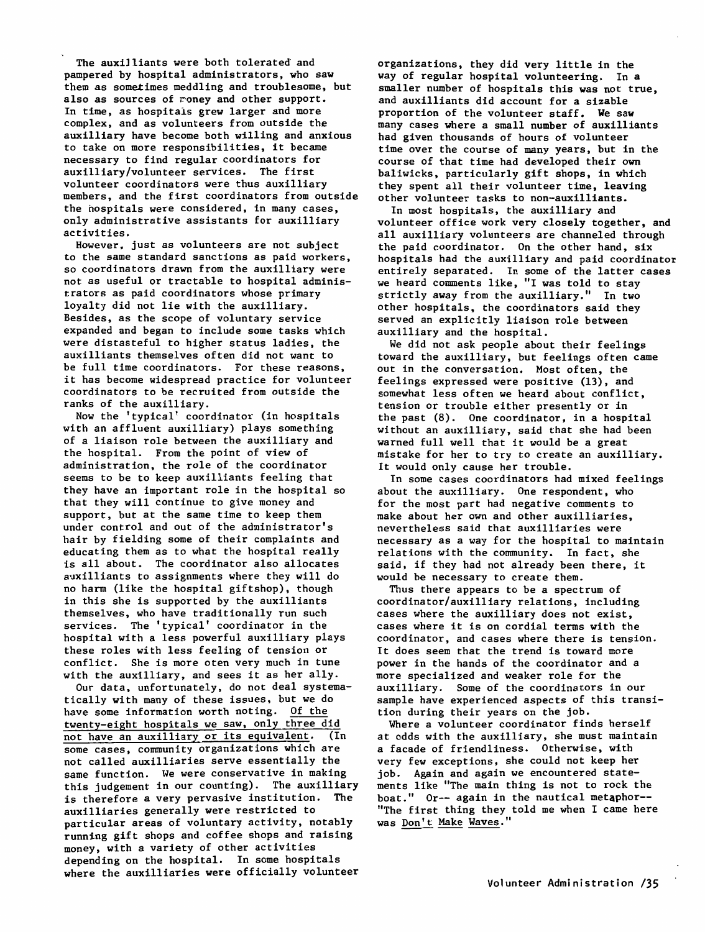The auxilliants were both tolerated and pampered by hospital administrators, who saw them as sometimes meddling and troublesome, but also as sources of money and other support. In time, as hospitals grew larger and more complex, and as volunteers from outside the auxilliary have become both willing and anxious to take on more responsibilities, it became necessary to find regular coordinators for auxilliary/volunteer services. The first volunteer coordinators were thus auxilliary members, and the first coordinators from outside the hospitals were considered, in many cases, only administrative assistants for auxilliary activities.

However, just as volunteers are not subject to the same standard sanctions as paid workers, so coordinators drawn from the auxilliary were not as useful or tractable to hospital administrators as paid coordinators whose primary loyalty did not lie with the auxilliary. Besides, as the scope of voluntary service expanded and began to include some tasks which were distasteful to higher status ladies, the auxilliants themselves often did not want to be full time coordinators. For these reasons, it has become widespread practice for volunteer coordinators to be recruited from outside the ranks of the auxilliary.

Now the 'typical' coordinator (in hospitals with an affluent auxilliary) plays something of a liaison role between the auxilliary and the hospital. From the point of view of administration, the role of the coordinator seems to be to keep auxilliants feeling that they have an important role in the hospital so that they will continue to give money and support, but at the same time to keep them under control and out of the administrator's hair by fielding some of their complaints and educating them as to what the hospital really is all about. The coordinator also allocates auxilliants to assignments where they will do no harm (like the hospital giftshop), though in this she is supported by the auxilliants themselves, who have traditionally run such services. The 'typical' coordinator in the hospital with a less powerful auxilliary plays these roles with less feeling of tension or conflict. She is more oten very much in tune with the auxilliary, and sees it as her ally.

Our data, unfortunately, do not deal systematically with many of these issues, but we do have some information worth noting. Of the twenty-eight hospitals we saw, only three did not have an auxilliary or its equivalent. (In some cases, community organizations which are not called auxilliaries serve essentially the same function. We were conservative in making this judgement in our counting). The auxilliary is therefore a very pervasive institution. The auxilliaries generally were restricted to particular areas of voluntary activity, notably running gift shops and coffee shops and raising money, with a variety of other activities depending on the hospital. In some hospitals where the auxilliaries were officially volunteer organizations, they did **very** little in the way of regular hospital volunteering. In a smaller number of hospitals this was not true, and auxilliants did account for a sizable proportion of the volunteer staff. **We saw**  many cases where a small number of auxilliants had given thousands of hours of volunteer time over the course of many years, but in the course of that time had developed their own baliwicks, particularly gift shops, in which they spent all their volunteer time, leaving other volunteer tasks to non-auxilliants.

In most hospitals, the auxilliary and volunteer office work very closely together, and all auxilliary volunteers are channeled through the paid coordinator. On the other hand, six hospitals had the auxilliary and paid coordinator entirely separated. In some of the latter cases we heard comments like, "I was told to stay strictly away from the auxilliary." In two other hospitals, the coordinators said they served an explicitly liaison role between auxilliary and the hospital.

We did not ask people about their feelings toward the auxilliary, but feelings often came out in the conversation. Most often, the feelings expressed were positive (13), and somewhat less often we heard about conflict, tension or trouble either presently or in the past (8). One coordinator, in a hospital without an auxilliary, said that she had been warned full well that it would be a great mistake for her to try to create an auxilliary. It would only cause her trouble.

In some cases coordinators had mixed feelings about the auxilliary. One respondent, who for the most part had negative comments to make about her own and other auxilliaries, nevertheless said that auxilliaries were necessary as a way for the hospital to maintain relations with the community. In fact, she said, if they had not already been there, it would be necessary to create them.

Thus there appears to be a spectrum of coordinator/auxilliary relations, including cases where the auxilliary does not exist, cases where it is on cordial terms with the coordinator, and cases where there is tension. It does seem that the trend is toward more power in the hands of the coordinator and a more specialized and weaker role for the auxilliary. Some of the coordinators in our sample have experienced aspects of this transition during their years on the job.

Where a volunteer coordinator finds herself at odds with the auxilliary, she must maintain a facade of friendliness. Otherwise, with very few exceptions, she could not keep her job. Again and again we encountered statements like "The main thing is not to rock the boat." Or-- again in the nautical metaphor-- "The first thing they told me when I came here was Don't Make Waves."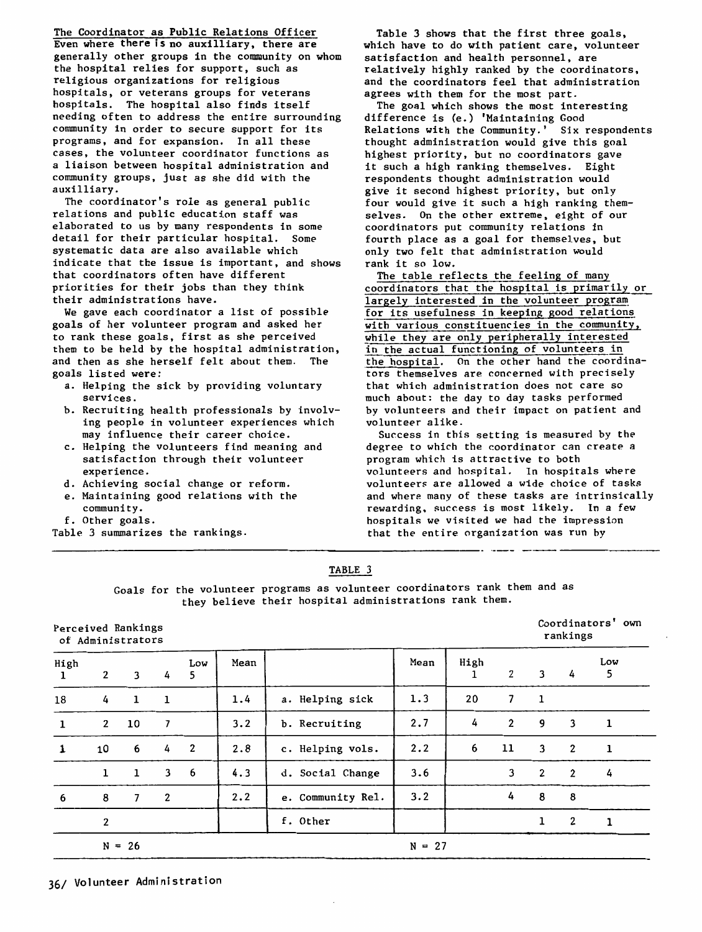The Coordinator as Public Relations Officer Even where there is no auxilliary, there are generally other groups in the community on whom the hospital relies for support, such as religious organizations for religious hospitals, or veterans groups for veterans hospitals. The hospital also finds itself needing often to address the entire surrounding community in order to secure support for its programs, and for expansion. In all these cases, the volunteer coordinator functions as a liaison between hospital administration and community groups, just as she did with the auxilliary.

The coordinator's role as general public relations and public education staff was elaborated to us by many respondents in some detail for their particular hospital. Some systematic data are also available which indicate that the issue is important, and shows that coordinators often have different priorities for their jobs than they think their administrations have.

We gave each coordinator a list of possible goals of her volunteer program and asked her to rank these goals, first as she perceived them to be held by the hospital administration, and then as she herself felt about them. The goals listed **were:** 

- a. Helping the sick by providing voluntary services.
- b. Recruiting health professionals by involving people in volunteer experiences which may influence their career choice.
- c. Helping the volunteers find meaning and satisfaction through their volunteer experience.
- d. Achieving social change or reform.
- e. Maintaining good relations with the community.
- f. Other goals.
- Table 3 summarizes the rankings.

Table 3 shows that the first three goals, which have to do with patient care, volunteer satisfaction and health personnel, are relatively highly ranked by the coordinators, and the coordinators feel that administration agrees with them for the most part.

The goal which shows the most interesting difference is (e.) 'Maintaining Good Relations with the Community.' Six respondents thought administration would give this goal highest priority, but no coordinators gave it such a high ranking themselves. Eight respondents thought administration would give it second highest priority, but only four would give it such a high ranking themselves. On the other extreme, eight of our coordinators put community relations in fourth place as a goal for themselves, but only two felt that administration would rank it so low.

The table reflects the feeling of many coordinators that the hospital is primarily or largely interested in the volunteer program for its usefulness in keeping good relations with various constituencies in the community, while they are only peripherally interested in the actual functioning of volunteers in the hospital. On the other hand the coordinators themselves are concerned with precisely that which administration does not care so much about: the day to day tasks performed by volunteers and their impact on patient and volunteer alike.

Success in this setting is measured by the degree to which the coordinator can create a program which is attractive to both volunteers and hospital. In hospitals where volunteers are allowed a wide choice of tasks and where many of these tasks are intrinsically rewarding. success is most likely. In a few hospitals we visited we had the impression that the entire organization was run by

# **TABLE** 3

Goals for the volunteer programs as volunteer coordinators rank them and as they believe their hospital administrations rank them.

----------------------~-------------· ---- --- ---------

### Perceived Rankings of Administrators

Coordinators' own rankings

| High<br>1    | $\overline{2}$ | 3              | 4              | Low<br>5     | Mean |                   | Mean     | High | $\overline{2}$ | 3              | 4              | Low<br>5     |
|--------------|----------------|----------------|----------------|--------------|------|-------------------|----------|------|----------------|----------------|----------------|--------------|
| 18           | 4              | 1              | 1              |              | 1.4  | a. Helping sick   | 1.3      | 20   | 7              | $\mathbf{1}$   |                |              |
| $\mathbf{1}$ | $\mathbf{2}$   | 10             | 7              |              | 3.2  | b. Recruiting     | 2.7      | 4    | $\mathbf{2}$   | 9              | 3              | 1            |
| $\mathbf{1}$ | 10             | 6              | 4              | $\mathbf{2}$ | 2.8  | c. Helping vols.  | 2.2      | 6    | 11             | 3              | $\overline{2}$ | $\mathbf{1}$ |
|              | 1              | $\mathbf{1}$   | 3              | 6            | 4.3  | d. Social Change  | 3.6      |      | 3              | $\overline{2}$ | $\overline{2}$ | 4            |
| 6            | 8              | $\overline{7}$ | $\overline{2}$ |              | 2.2  | e. Community Rel. | 3.2      |      | 4              | 8              | 8              |              |
|              | 2              |                |                |              |      | f. Other          |          |      |                | 1              | $\overline{2}$ | ı            |
|              |                | $N = 26$       |                |              |      |                   | $N = 27$ |      |                |                |                |              |

36/ Volunteer Administration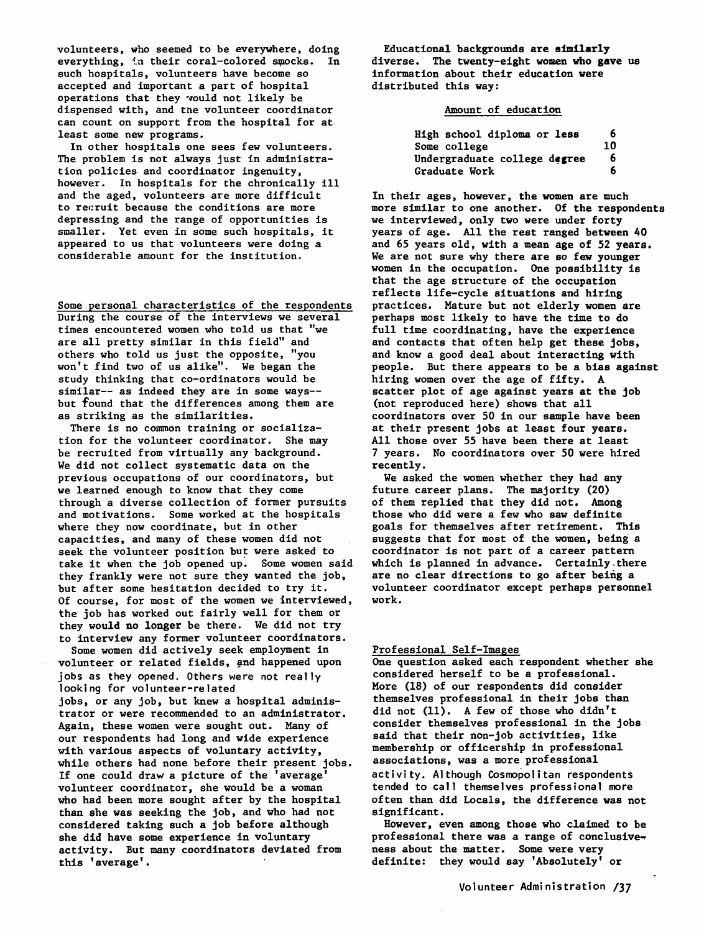volunteers, who seemed to be everywhere, doing everything, in their coral-colored smocks. In such hospitals, volunteers have become so accepted and important a part of hospital operations that they would not likely be dispensed with, and the volunteer coordinator can count on support from the hospital for at least some new programs.

In other hospitals one sees few volunteers. The problem is not always just in administration policies and coordinator ingenuity, however. In hospitals for the chronically ill and the aged, volunteers are more difficult to recruit because the conditions are more depressing and the range of opportunities is smaller. Yet even in some such hospitals, it appeared to us that volunteers were doing a considerable amount for the institution.

Some personal characteristics of the respondents During the course of the interviews we several times encountered women who told us that "we are all pretty similar in this field" and others who told us just the opposite, "you won't find two of us alike". We began the study thinking that co-ordinators would be similar-- as indeed they are in some ways- but found that the differences among them are as striking as the similarities.

There is no common training or socialization for the volunteer coordinator. She may be recruited from virtually any background. We did not collect systematic data on the previous occupations of our coordinators, but we learned enough to know that they come through a diverse collection of former pursuits and motivations. Some worked at the hospitals where they now coordinate, but in other capacities, and many of these women did not seek the volunteer position but were asked to take it when the job opened up. Some women said they frankly were not sure they wanted the job, but after some hesitation decided to try it. Of course, for most of the women we interviewed, the job has worked out fairly well for them or they **would no longer** be there. We did not try to interview any former volunteer coordinators.

Some women did actively seek employment in volunteer or related fields, and happened upon jobs as they opened. Others were not really looking for volunteer-related jobs, or any job, but knew a hospital administrator or were recommended to an administrator. Again, these women were sought out. Many of our respondents had long and wide experience with various aspects of voluntary activity, while others had none before their present jobs. If one could draw a picture of the 'average' volunteer coordinator, she would be a woman who had been more sought after by the hospital than she was seeking the job, and who had not considered taking such a job before although she did have some experience in voluntary activity. But many coordinators deviated from this 'average' .

Educational backgrounds are **similarly**  diverse. The twenty-eight women who **gave** us information about their education **were**  distributed this **way:** 

### Amount of education

| High school diploma or less  | 6  |
|------------------------------|----|
| Some college                 | 10 |
| Undergraduate college degree | 6  |
| Graduate Work                | 6  |

In their ages, however, the women are much more similar to one another. Of the respondents we interviewed, only two were under forty years of age. All the rest ranged between 40 and 65 years old, with a mean age of 52 **years.**  We are not sure why there are so few younger women in the occupation. One possibility is that the age structure of the occupation reflects life-cycle situations and hiring practices. Mature but not elderly **women are**  perhaps most likely to have the time to do full time coordinating, have the experience and contacts that often help get these jobs, and know a good deal about interacting with people. But there appears to be a bias against hiring women over the age of fifty. A scatter plot of age against years at the job (not reproduced here) shows that all coordinators over 50 in our sample have been at their present jobs at least four years. All those over 55 have been there at least 7 years. No coordinators over 50 were hired recently.

We asked the women whether they had any future career plans. The majority (20) of them replied that they did not. Among those who did were a few who saw definite goals for themselves after retirement. This suggests that for most of the women, being a coordinator is not part of a career pattern which is planned in advance. Certainly there are no clear directions to go after being a volunteer coordinator except perhaps personnel work.

# Professional Self-Images

One question asked each respondent whether she considered herself to be a professional. More (18) of our respondents did consider themselves professional in their **jobs** than did not (11). A few of those who didn't consider themselves professional in the jobs said that their non-job activities, like membership or officership in professional associations, was a more professional activity. Although Cosmopolitan respondents tended to call themselves professional more often than did Locals, the difference was not significant.

However, even among those who claimed to be professional there was a range of conclusiveness about the matter. Some were very definite: they would say 'Absolutely' or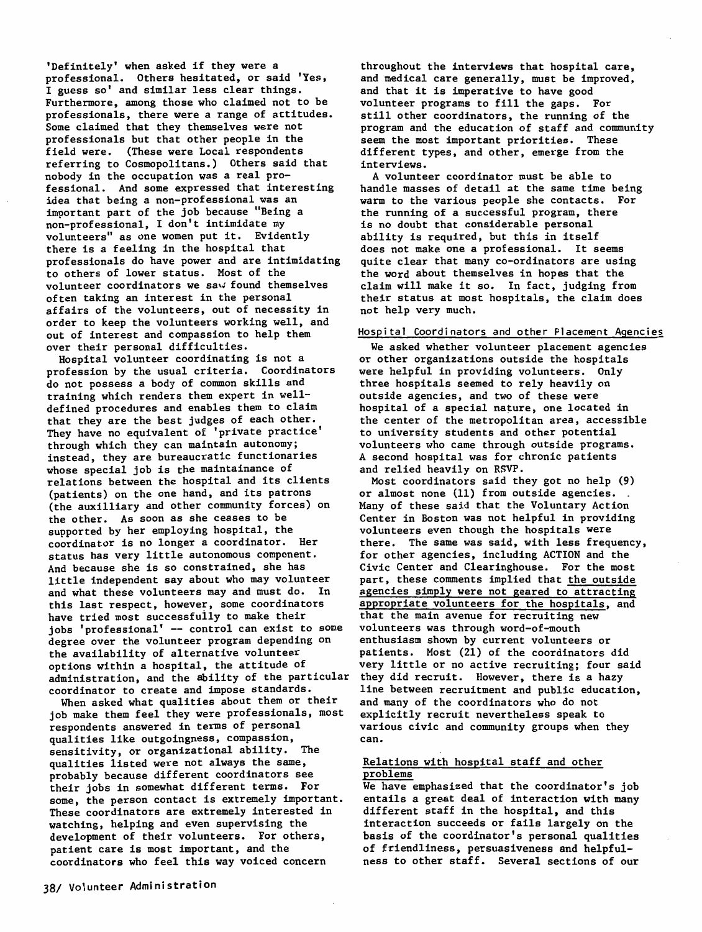'Definitely' when asked if they were a professional. Others hesitated, or said 'Yes, I guess so' and similar less clear things. Furthermore, among those who claimed not to be professionals, there were a range of attitudes. Some claimed that they themselves were not professionals but that other people in the field were. (These were Local respondents referring to Cosmopolitans.) Others said that nobody in the occupation was a real professional. And some expressed that interesting idea that being a non-professional was an important part of the job because "Being a non-professional, I don't intimidate my volunteers" as one women put it. Evidently there is a feeling in the hospital that professionals do have power and are intimidating to others of lower status. Most of the volunteer coordinators we saw found themselves often **taking** an interest in the personal affairs of the volunteers, out of necessity in order to keep the volunteers working well, and out of interest and compassion to help them over their personal difficulties.

Hospital volunteer coordinating is not a profession by the usual criteria. Coordinators do not possess a body of common skills and training which renders them expert in welldefined procedures and enables them to claim that they are the best judges of each other. They have no equivalent of 'private practice' through which they can maintain autonomy; instead, they are bureaucratic functionaries whose special job is the maintainance of relations between the hospital and its clients (patients) on the one hand, and its patrons (the auxilliary and other community forces) on the other. As soon as she ceases to be supported by her employing hospital, the coordinator is no longer a coordinator. Her status has very little autonomous component. And because she is so constrained, she has little independent say about who may volunteer and what these volunteers may and must do. In this last respect, however, some coordinators have tried most successfuily to make their jobs 'professional' -- control can exist to some degree over the volunteer program depending on the availability of alternative volunteer options within a hospital, the attitude of administration, and the ability of the particular coordinator to create and impose standards.

When asked what qualities about them or their job make them feel they were professionals, most respondents answered in terms of personal qualities like outgoingness, compassion, sensitivity, or organizational ability. The qualities listed were not always the same, probably because different coordinators see their jobs in somewhat different terms. For some, the person contact is extremely important. These coordinators are extremely interested in watching, helping and even supervising the development of their volunteers. For others, patient care is most important, and the coordinators who feel this way voiced concern

throughout the interviews that hospital care, and medical care generally, must be improved, and that it is imperative to have good volunteer programs to fill the gaps. For still other coordinators, the running of the program and the education of staff and community seem the most important priorities. These different types, and other, emerge from the interviews.

A volunteer coordinator must be able to handle masses of detail at the same time being warm to the various people she contacts. For the running of a successful program, there is no doubt that considerable personal ability is required, but this in itself does not make one a professional. It seems quite clear that many co-ordinators are using the word about themselves in hopes that the claim will make it so. In fact, judging from their status at most hospitals, the claim does not help very much.

### Hospital Coordinators and other Placement Agencies

We asked whether volunteer placement agencies or other organizations outside the hospitals were helpful in providing volunteers. Only three hospitals seemed to rely heavily on outside agencies, and two of these were hospital of a special nature, one located in the center of the metropolitan area, accessible to university students and other potential volunteers who came through outside programs. A second hospital was for chronic patients and relied heavily on RSVP.

Most coordinators said they got no help (9) or almost none (11) from outside agencies. Many of these said that the Voluntary Action Center in Boston was not helpful in providing volunteers even though the hospitals were there. The same was said, with less frequency, for other agencies, including ACTION and the Civic Center and Clearinghouse. For the most part, these comments implied that the outside agencies simply were not geared to attracting appropriate volunteers for the hospitals, and that the main avenue for recruiting new volunteers was through word-of-mouth enthusiasm shown by current volunteers or patients. Most (21) of the coordinators did very little or no active recruiting; four said they did recruit. However, there is a hazy line between recruitment and public education, and many of the coordinators who do not explicitly recruit nevertheless speak to various civic and community groups when they can.

### Relations with hospital staff and other problems

We have emphasized that the coordinator's job entails a great deal of interaction with many different staff in the hospital, and this interaction succeeds or fails largely on the basis of the coordinator's personal qualities of friendliness, persuasiveness and helpfulness to other staff. Several sections of our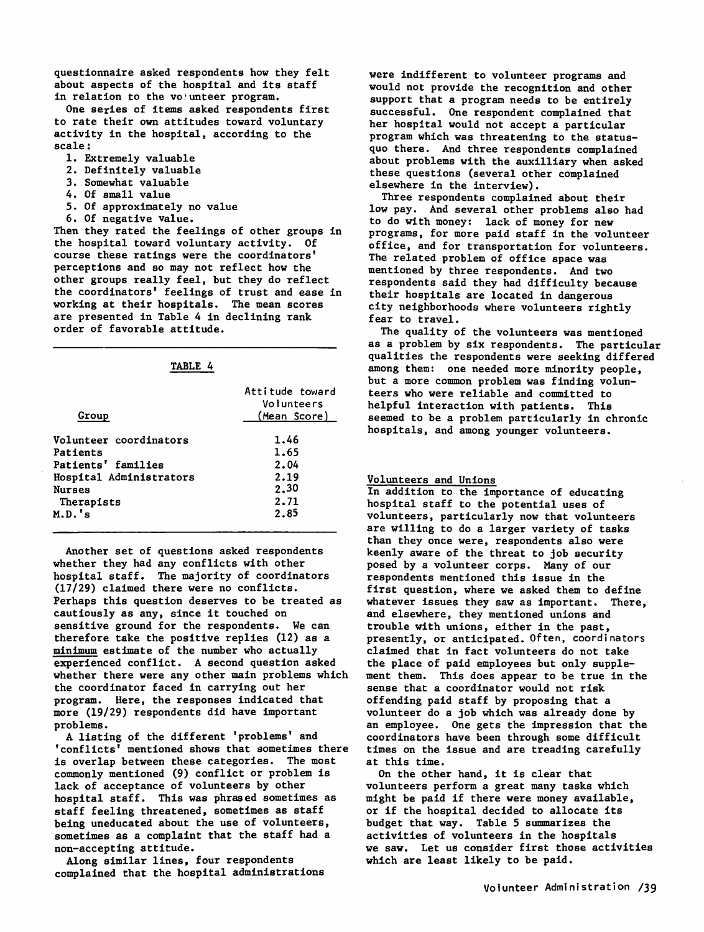questionnaire asked respondents how they felt about aspects of the hospital and its staff in relation to the volunteer program.

One series of items asked respondents first to rate their own attitudes toward voluntary activity in the hospital, according to the scale:

- 1. Extremely valuable
- 2. Definitely valuable
- *3.* Somewhat valuable
- 4. Of small value
- 5. Of approximately no value
- 6. Of negative value.

Then they rated the feelings of other groups in the hospital toward voluntary activity. Of course these ratings were the coordinators' perceptions and so may not reflect how the other groups really feel, but they do reflect the coordinators' feelings of trust and ease in working at their hospitals. The mean scores are presented in Table 4 in declining rank order of favorable attitude.

# TABLE 4

| Group                   | Attitude toward<br>Volunteers<br>(Mean Score) |
|-------------------------|-----------------------------------------------|
| Volunteer coordinators  | 1.46                                          |
| Patients                | 1.65                                          |
| Patients' families      | 2.04                                          |
| Hospital Administrators | 2.19                                          |
| <b>Nurses</b>           | 2.30                                          |
| Therapists              | 2.71                                          |
| M.D.'s                  | 2.85                                          |

Another set of questions asked respondents whether they had any conflicts with other hospital staff. The majority of coordinators (17/29) claimed there were no conflicts. Perhaps this question deserves to be treated as cautiously as any, since it touched on sensitive ground for the respondents. We can therefore take the positive replies (12) as a minimum estimate of the number who actually experienced conflict. A second question asked whether there were any other main problems which the coordinator faced in carrying out her program. Here, the responses indicated that more (19/29) respondents did have important problems.

A listing of the different 'problems' and 'conflicts' mentioned shows that sometimes there is overlap between these categories. The most commonly mentioned (9) conflict or problem is lack of acceptance of volunteers by other hospital staff. This was phrased sometimes as staff feeling threatened, sometimes as staff being uneducated about the use of volunteers, sometimes as a complaint that the staff had a non-accepting attitude.

Along similar lines, four respondents complained that the hospital administrations were indifferent to volunteer programs and would not provide the recognition and other support that a program needs to be entirely successful. One respondent complained that her hospital would not accept a particular program which was threatening to the statusquo there. And three respondents complained about problems with the auxilliary when **asked**  these questions (several other complained elsewhere in the interview).

Three respondents complained about their low pay. And several other problems also had to do with money: lack of money for new programs, for more paid staff in the volunteer office, and for transportation for volunteers. The related problem of office space was mentioned by three respondents. And two respondents said they had difficulty because their hospitals are located in dangerous city neighborhoods where volunteers rightly fear to travel.

The quality of the volunteers was mentioned as a problem by six respondents. The particular qualities the respondents were seeking differed among them: one needed more minority people, but a more common problem was finding volunteers who were reliable and committed to helpful interaction with patients. This seemed to be a problem particularly in chronic hospitals, and among younger volunteers.

#### Volunteers and Unions

In addition to the importance of educating hospital staff to the potential uses of volunteers, particularly now that volunteers are willing to do a larger variety of tasks than they once were, respondents also were keenly aware of the threat to job security posed by a volunteer corps. Many of our respondents mentioned this issue in the first question, where we asked them to define whatever issues they saw as important. There, and elsewhere, they mentioned unions and trouble with unions, either in the **past,**  presently, or anticipated. Often, coordinators claimed that in fact volunteers do not take the place of paid employees but only supplement them. This does appear to be true in the sense that a coordinator would not risk offending paid staff by proposing that a volunteer do a job which was already done by an employee. One gets the impression that the coordinators have been through some difficult times on the issue and are treading carefully at this time.

On the other hand, it is clear that volunteers perform a great many tasks which might be paid if there were money available, or if the hospital decided to allocate its budget that way. Table 5 summarizes the activities of volunteers in the hospitals we saw. Let us consider first those activities which are least likely to be paid.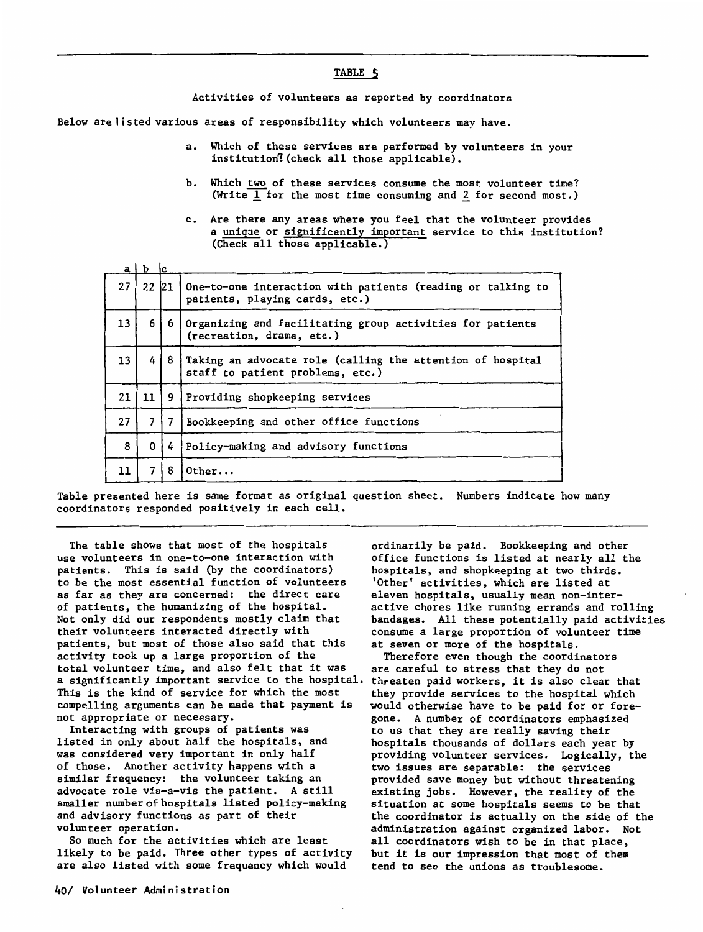#### **TABLE 5**

Activities of volunteers as reported by coordinators

Below are listed various areas of responsibility which volunteers may have.

- a. Which of these services are performed by volunteers in your institution? (check all those applicable).
- b. Which two of these services consume the most volunteer time? (Write  $\overline{1}$  for the most time consuming and 2 for second most.)
- c. Are there any areas where you feel that the volunteer provides a unique or significantly important service to this institution? (Check all those applicable.)

|    | $a \mid b$ | ١с |                                                                                                |
|----|------------|----|------------------------------------------------------------------------------------------------|
| 27 | 22 21      |    | One-to-one interaction with patients (reading or talking to<br>patients, playing cards, etc.)  |
| 13 | 6          | 6  | Organizing and facilitating group activities for patients<br>(recreation, drama, etc.)         |
| 13 | 4          | 8  | Taking an advocate role (calling the attention of hospital<br>staff to patient problems, etc.) |
| 21 | 11         | 9  | Providing shopkeeping services                                                                 |
| 27 |            |    | Bookkeeping and other office functions                                                         |
| 8  | 0          | 4  | Policy-making and advisory functions                                                           |
| 11 | 7          | 8  | Other                                                                                          |

Table presented here is same format as original question sheet. Numbers indicate how many coordinators responded positively in each cell.

The table shows that most of the hospitals use volunteers in one-to-one interaction with patients. This is said (by the coordinators) to be the most essential function of volunteers as far as they are concerned: the direct care of patients, the humanizing of the hospital. Not only did our respondents mostly claim that their volunteers interacted directly with patients, but most of those also said that this activity took up a large proportion of the total volunteer time, and also felt that it was a significantly important service to the hospital. This is the kind of service for which the most compelling arguments can be made that payment is not appropriate or necessary.

Interacting with groups of patients was listed in only about half the hospitals, and was considered very important in only half of those. Another activity happens with a similar frequency: the volunteer taking an advocate role vis-a-vis the patient. A still smaller number of hospitals listed policy-making and advisory functions as part of their volunteer operation.

So much for the activities which are least likely to be paid. Three other types of activity are also listed with some frequency which would

ordinarily be paid. Bookkeeping and other office functions is listed at nearly all the hospitals, and shopkeeping at two thirds. 'Other' activities, which are listed at eleven hospitals, usually mean non-interactive chores like running errands and rolling bandages. All these potentially paid activities consume a large proportion of volunteer time at seven or more of the hospitals.

Therefore even though the coordinators are careful to stress that they do not threaten paid workers, it is also clear that they provide services to the hospital which would otherwise have to be paid for or foregone. A number of coordinators emphasized to us that they are really saving their hospitals thousands of dollars each year by providing volunteer services. Logically, the two issues are separable: the services provided save money but without threatening existing jobs. However, the reality of the situation at some hospitals seems to be that the coordinator is actually on the side of the administration against organized labor. Not all coordinators wish to be in that place, but it is our impression that most of them tend to see the unions as troublesome.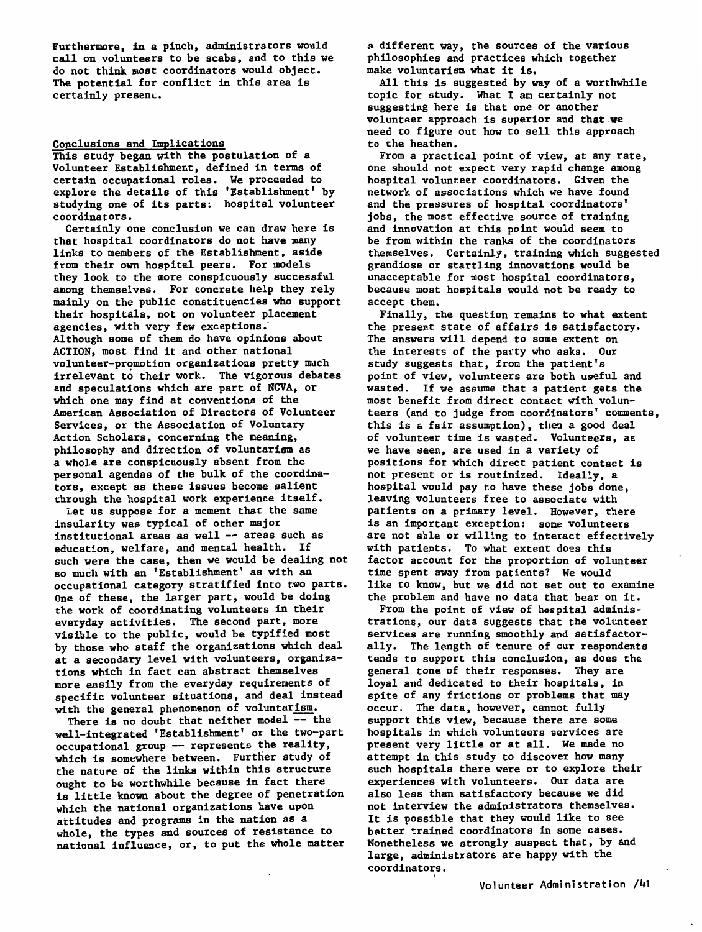Furthermore, in a pinch, administrators would call on volunteers to be scabs, and to this we do not think most coordinators would object. The potential for conflict in this area is certainly present.

### Conclusions and Implications

This study began with the postulation of a Volunteer Establishment, defined in terms of certain occupational roles. We proceeded to explore the details of this 'Establishment' by studying one of its parts: hospital volunteer coordinators.

Certainly one conclusion we can draw here is that hospital coordinators do not have many links to members of the Establishment, aside from their own hospital peers. For models they look to the more conspicuously successful among themselves. For concrete help they rely mainly on the public constituencies who support their hospitals, not on volunteer placement agencies, with very few exceptions: Although some of them do have opinions about ACTION, most find it and other national volunteer-promotion organizations pretty much irrelevant to their work. The vigorous debates and speculations which are part of NCVA, or which one may find at conventions of the American Association of Directors of Volunteer Services, or the Association of Voluntary Action Scholars, concerning the meaning, philosophy and direction of voluntarism as a whole are conspicuously absent from the personal agendas of the bulk of the coordinators, except as these issues become salient through the hospital work experience itself.

Let us suppose for a moment that the same insularity was typical of other major institutional areas as well -- areas such as education, welfare, and mental health. If such were the case, then we would be dealing not so much with an 'Establishment' as with an occupational category stratified into two parts. One of these, the larger part, would be doing the work of coordinating volunteers in their everyday activities. The second part, more visible to the public, would be typified most by those who staff the organizations which deal at a secondary level with volunteers, organizations which in fact can abstract themselves more easily from the everyday requirements of specific volunteer situations, and deal instead with the general phenomenon of voluntarism.

There is no doubt that neither model -- the well-integrated 'Establishment' or the two-part occupational group -- represents the reality, which is somewhere between. Further study of the nature of the links within this structure ought to be worthwhile because in fact there is little known about the degree of penetration which the national organizations have upon attitudes and programs in the nation as a whole, the types and sources of resistance to national influence, or, to put the whole matter

a different way, the sources of the various philosophies and practices which together make voluntarism what it is.

All this is suggested by way of a worthwhile topic for study. What I am certainly not suggesting here is that one or another volunteer approach is superior and **that.we**  need to figure out how to sell this approach to the heathen.

From a practical point of view, at any rate, one should not expect very rapid change among hospital volunteer coordinators. Given the network of associations which we have found and the pressures of hospital coordinators' jobs, the most effective source of training and innovation at this point would seem to be from within the ranks of the coordinators themselves. Certainly, training which suggested grandiose or startling innovations would be unacceptable for most hospital coordinators, because most hospitals would not be ready to accept them.

Finally, the question remains to what extent the present state of affairs is satisfactory. The answers will depend to some extent on the interests of the party who asks. Our study suggests that, from the patient's point of view, volunteers are both useful and wasted. If we assume that a patient gets the most benefit from direct contact with volunteers (and to judge from coordinators' comments, this is a fair assumption), then a good deal of volunteer time is wasted. Volunteers, as we have seen, are used in a variety of positions for which direct patient contact is not present or is routinized. Ideally, a hospital would pay to have these jobs done, leaving volunteers free to associate with patients on a primary level. However, there is an important exception: some volunteers are not able or willing to interact effectively with patients. To what extent does this factor account for the proportion of volunteer time spent away from patients? We would like to know, but we did not set out to examine the problem and have no data that bear on it.

From the point of view of hospital administrations, our data suggests that the volunteer services are running smoothly and satisfactorally. The length of tenure of our respondents tends to support this conclusion, as does the general tone of their responses. They are loyal and dedicated to their hospitals, in spite of any frictions or problems that may occur. The data, however, cannot fully support this view, because there are some hospitals in which volunteers services are present very little or at all. We made no attempt in this study to discover how many such hospitals there were or to explore their experiences with volunteers. Our data are also less than satisfactory because we did not interview the administrators themselves. It is possible that they would like to see better trained coordinators in some cases. Nonetheless we strongly suspect that, by and large, administrators are happy with the coordinators.